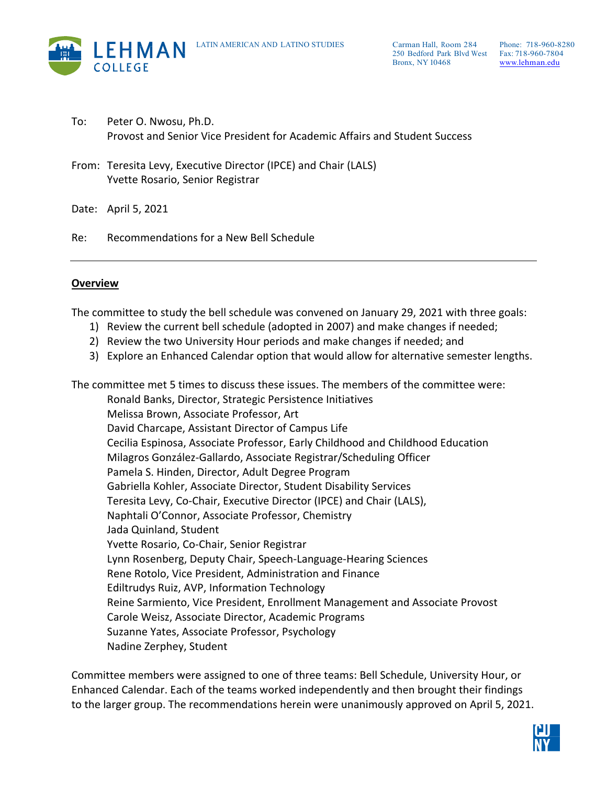

- To: Peter O. Nwosu, Ph.D. Provost and Senior Vice President for Academic Affairs and Student Success
- From: Teresita Levy, Executive Director (IPCE) and Chair (LALS) Yvette Rosario, Senior Registrar

Date: April 5, 2021

Re: Recommendations for a New Bell Schedule

#### **Overview**

The committee to study the bell schedule was convened on January 29, 2021 with three goals:

- 1) Review the current bell schedule (adopted in 2007) and make changes if needed;
- 2) Review the two University Hour periods and make changes if needed; and
- 3) Explore an Enhanced Calendar option that would allow for alternative semester lengths.

The committee met 5 times to discuss these issues. The members of the committee were:

Ronald Banks, Director, Strategic Persistence Initiatives Melissa Brown, Associate Professor, Art David Charcape, Assistant Director of Campus Life Cecilia Espinosa, Associate Professor, Early Childhood and Childhood Education Milagros González-Gallardo, Associate Registrar/Scheduling Officer Pamela S. Hinden, Director, Adult Degree Program Gabriella Kohler, Associate Director, Student Disability Services Teresita Levy, Co-Chair, Executive Director (IPCE) and Chair (LALS), Naphtali O'Connor, Associate Professor, Chemistry Jada Quinland, Student Yvette Rosario, Co-Chair, Senior Registrar Lynn Rosenberg, Deputy Chair, Speech-Language-Hearing Sciences Rene Rotolo, Vice President, Administration and Finance Ediltrudys Ruiz, AVP, Information Technology Reine Sarmiento, Vice President, Enrollment Management and Associate Provost Carole Weisz, Associate Director, Academic Programs Suzanne Yates, Associate Professor, Psychology Nadine Zerphey, Student

Committee members were assigned to one of three teams: Bell Schedule, University Hour, or Enhanced Calendar. Each of the teams worked independently and then brought their findings to the larger group. The recommendations herein were unanimously approved on April 5, 2021.

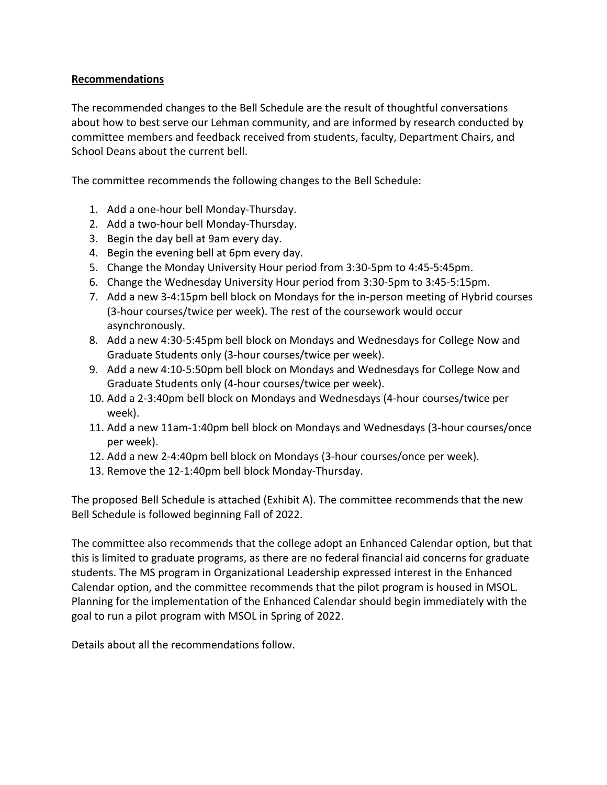## **Recommendations**

The recommended changes to the Bell Schedule are the result of thoughtful conversations about how to best serve our Lehman community, and are informed by research conducted by committee members and feedback received from students, faculty, Department Chairs, and School Deans about the current bell.

The committee recommends the following changes to the Bell Schedule:

- 1. Add a one-hour bell Monday-Thursday.
- 2. Add a two-hour bell Monday-Thursday.
- 3. Begin the day bell at 9am every day.
- 4. Begin the evening bell at 6pm every day.
- 5. Change the Monday University Hour period from 3:30-5pm to 4:45-5:45pm.
- 6. Change the Wednesday University Hour period from 3:30-5pm to 3:45-5:15pm.
- 7. Add a new 3-4:15pm bell block on Mondays for the in-person meeting of Hybrid courses (3-hour courses/twice per week). The rest of the coursework would occur asynchronously.
- 8. Add a new 4:30-5:45pm bell block on Mondays and Wednesdays for College Now and Graduate Students only (3-hour courses/twice per week).
- 9. Add a new 4:10-5:50pm bell block on Mondays and Wednesdays for College Now and Graduate Students only (4-hour courses/twice per week).
- 10. Add a 2-3:40pm bell block on Mondays and Wednesdays (4-hour courses/twice per week).
- 11. Add a new 11am-1:40pm bell block on Mondays and Wednesdays (3-hour courses/once per week).
- 12. Add a new 2-4:40pm bell block on Mondays (3-hour courses/once per week).
- 13. Remove the 12-1:40pm bell block Monday-Thursday.

The proposed Bell Schedule is attached (Exhibit A). The committee recommends that the new Bell Schedule is followed beginning Fall of 2022.

The committee also recommends that the college adopt an Enhanced Calendar option, but that this is limited to graduate programs, as there are no federal financial aid concerns for graduate students. The MS program in Organizational Leadership expressed interest in the Enhanced Calendar option, and the committee recommends that the pilot program is housed in MSOL. Planning for the implementation of the Enhanced Calendar should begin immediately with the goal to run a pilot program with MSOL in Spring of 2022.

Details about all the recommendations follow.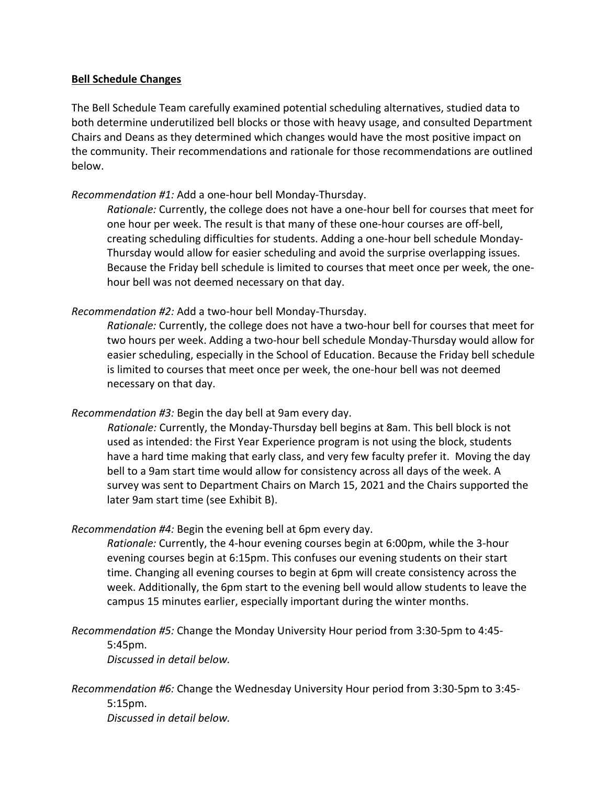### **Bell Schedule Changes**

The Bell Schedule Team carefully examined potential scheduling alternatives, studied data to both determine underutilized bell blocks or those with heavy usage, and consulted Department Chairs and Deans as they determined which changes would have the most positive impact on the community. Their recommendations and rationale for those recommendations are outlined below.

## *Recommendation #1:* Add a one-hour bell Monday-Thursday.

*Rationale:* Currently, the college does not have a one-hour bell for courses that meet for one hour per week. The result is that many of these one-hour courses are off-bell, creating scheduling difficulties for students. Adding a one-hour bell schedule Monday-Thursday would allow for easier scheduling and avoid the surprise overlapping issues. Because the Friday bell schedule is limited to courses that meet once per week, the onehour bell was not deemed necessary on that day.

## *Recommendation #2:* Add a two-hour bell Monday-Thursday.

*Rationale:* Currently, the college does not have a two-hour bell for courses that meet for two hours per week. Adding a two-hour bell schedule Monday-Thursday would allow for easier scheduling, especially in the School of Education. Because the Friday bell schedule is limited to courses that meet once per week, the one-hour bell was not deemed necessary on that day.

## *Recommendation #3:* Begin the day bell at 9am every day.

*Rationale:* Currently, the Monday-Thursday bell begins at 8am. This bell block is not used as intended: the First Year Experience program is not using the block, students have a hard time making that early class, and very few faculty prefer it. Moving the day bell to a 9am start time would allow for consistency across all days of the week. A survey was sent to Department Chairs on March 15, 2021 and the Chairs supported the later 9am start time (see Exhibit B).

#### *Recommendation #4:* Begin the evening bell at 6pm every day.

*Rationale:* Currently, the 4-hour evening courses begin at 6:00pm, while the 3-hour evening courses begin at 6:15pm. This confuses our evening students on their start time. Changing all evening courses to begin at 6pm will create consistency across the week. Additionally, the 6pm start to the evening bell would allow students to leave the campus 15 minutes earlier, especially important during the winter months.

#### *Recommendation #5:* Change the Monday University Hour period from 3:30-5pm to 4:45- 5:45pm. *Discussed in detail below.*

# *Recommendation #6:* Change the Wednesday University Hour period from 3:30-5pm to 3:45- 5:15pm. *Discussed in detail below.*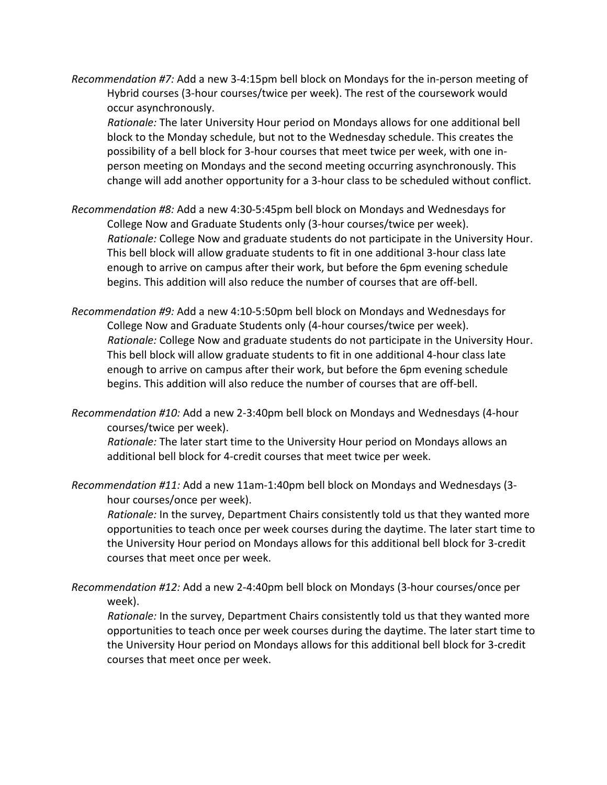*Recommendation #7:* Add a new 3-4:15pm bell block on Mondays for the in-person meeting of Hybrid courses (3-hour courses/twice per week). The rest of the coursework would occur asynchronously.

*Rationale:* The later University Hour period on Mondays allows for one additional bell block to the Monday schedule, but not to the Wednesday schedule. This creates the possibility of a bell block for 3-hour courses that meet twice per week, with one inperson meeting on Mondays and the second meeting occurring asynchronously. This change will add another opportunity for a 3-hour class to be scheduled without conflict.

- *Recommendation #8:* Add a new 4:30-5:45pm bell block on Mondays and Wednesdays for College Now and Graduate Students only (3-hour courses/twice per week). *Rationale:* College Now and graduate students do not participate in the University Hour. This bell block will allow graduate students to fit in one additional 3-hour class late enough to arrive on campus after their work, but before the 6pm evening schedule begins. This addition will also reduce the number of courses that are off-bell.
- *Recommendation #9:* Add a new 4:10-5:50pm bell block on Mondays and Wednesdays for College Now and Graduate Students only (4-hour courses/twice per week). *Rationale:* College Now and graduate students do not participate in the University Hour. This bell block will allow graduate students to fit in one additional 4-hour class late enough to arrive on campus after their work, but before the 6pm evening schedule begins. This addition will also reduce the number of courses that are off-bell.
- *Recommendation #10:* Add a new 2-3:40pm bell block on Mondays and Wednesdays (4-hour courses/twice per week).

*Rationale:* The later start time to the University Hour period on Mondays allows an additional bell block for 4-credit courses that meet twice per week.

*Recommendation #11:* Add a new 11am-1:40pm bell block on Mondays and Wednesdays (3 hour courses/once per week).

*Rationale:* In the survey, Department Chairs consistently told us that they wanted more opportunities to teach once per week courses during the daytime. The later start time to the University Hour period on Mondays allows for this additional bell block for 3-credit courses that meet once per week.

*Recommendation #12:* Add a new 2-4:40pm bell block on Mondays (3-hour courses/once per week).

*Rationale:* In the survey, Department Chairs consistently told us that they wanted more opportunities to teach once per week courses during the daytime. The later start time to the University Hour period on Mondays allows for this additional bell block for 3-credit courses that meet once per week.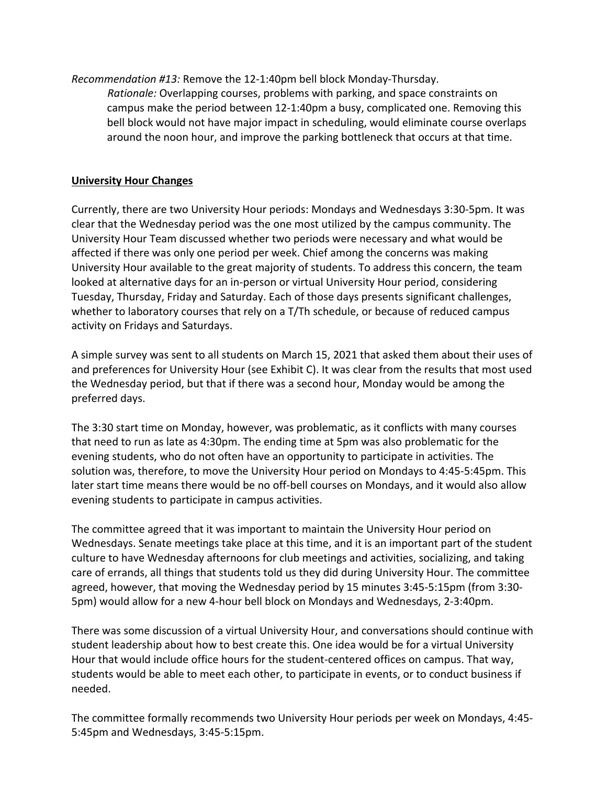*Recommendation #13:* Remove the 12-1:40pm bell block Monday-Thursday. *Rationale:* Overlapping courses, problems with parking, and space constraints on campus make the period between 12-1:40pm a busy, complicated one. Removing this bell block would not have major impact in scheduling, would eliminate course overlaps around the noon hour, and improve the parking bottleneck that occurs at that time.

#### **University Hour Changes**

Currently, there are two University Hour periods: Mondays and Wednesdays 3:30-5pm. It was clear that the Wednesday period was the one most utilized by the campus community. The University Hour Team discussed whether two periods were necessary and what would be affected if there was only one period per week. Chief among the concerns was making University Hour available to the great majority of students. To address this concern, the team looked at alternative days for an in-person or virtual University Hour period, considering Tuesday, Thursday, Friday and Saturday. Each of those days presents significant challenges, whether to laboratory courses that rely on a T/Th schedule, or because of reduced campus activity on Fridays and Saturdays.

A simple survey was sent to all students on March 15, 2021 that asked them about their uses of and preferences for University Hour (see Exhibit C). It was clear from the results that most used the Wednesday period, but that if there was a second hour, Monday would be among the preferred days.

The 3:30 start time on Monday, however, was problematic, as it conflicts with many courses that need to run as late as 4:30pm. The ending time at 5pm was also problematic for the evening students, who do not often have an opportunity to participate in activities. The solution was, therefore, to move the University Hour period on Mondays to 4:45-5:45pm. This later start time means there would be no off-bell courses on Mondays, and it would also allow evening students to participate in campus activities.

The committee agreed that it was important to maintain the University Hour period on Wednesdays. Senate meetings take place at this time, and it is an important part of the student culture to have Wednesday afternoons for club meetings and activities, socializing, and taking care of errands, all things that students told us they did during University Hour. The committee agreed, however, that moving the Wednesday period by 15 minutes 3:45-5:15pm (from 3:30- 5pm) would allow for a new 4-hour bell block on Mondays and Wednesdays, 2-3:40pm.

There was some discussion of a virtual University Hour, and conversations should continue with student leadership about how to best create this. One idea would be for a virtual University Hour that would include office hours for the student-centered offices on campus. That way, students would be able to meet each other, to participate in events, or to conduct business if needed.

The committee formally recommends two University Hour periods per week on Mondays, 4:45- 5:45pm and Wednesdays, 3:45-5:15pm.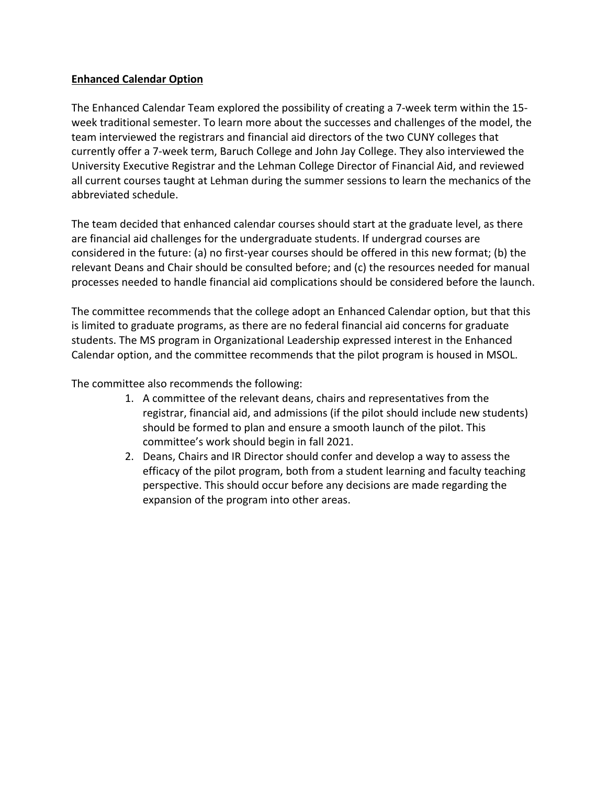## **Enhanced Calendar Option**

The Enhanced Calendar Team explored the possibility of creating a 7-week term within the 15 week traditional semester. To learn more about the successes and challenges of the model, the team interviewed the registrars and financial aid directors of the two CUNY colleges that currently offer a 7-week term, Baruch College and John Jay College. They also interviewed the University Executive Registrar and the Lehman College Director of Financial Aid, and reviewed all current courses taught at Lehman during the summer sessions to learn the mechanics of the abbreviated schedule.

The team decided that enhanced calendar courses should start at the graduate level, as there are financial aid challenges for the undergraduate students. If undergrad courses are considered in the future: (a) no first-year courses should be offered in this new format; (b) the relevant Deans and Chair should be consulted before; and (c) the resources needed for manual processes needed to handle financial aid complications should be considered before the launch.

The committee recommends that the college adopt an Enhanced Calendar option, but that this is limited to graduate programs, as there are no federal financial aid concerns for graduate students. The MS program in Organizational Leadership expressed interest in the Enhanced Calendar option, and the committee recommends that the pilot program is housed in MSOL.

The committee also recommends the following:

- 1. A committee of the relevant deans, chairs and representatives from the registrar, financial aid, and admissions (if the pilot should include new students) should be formed to plan and ensure a smooth launch of the pilot. This committee's work should begin in fall 2021.
- 2. Deans, Chairs and IR Director should confer and develop a way to assess the efficacy of the pilot program, both from a student learning and faculty teaching perspective. This should occur before any decisions are made regarding the expansion of the program into other areas.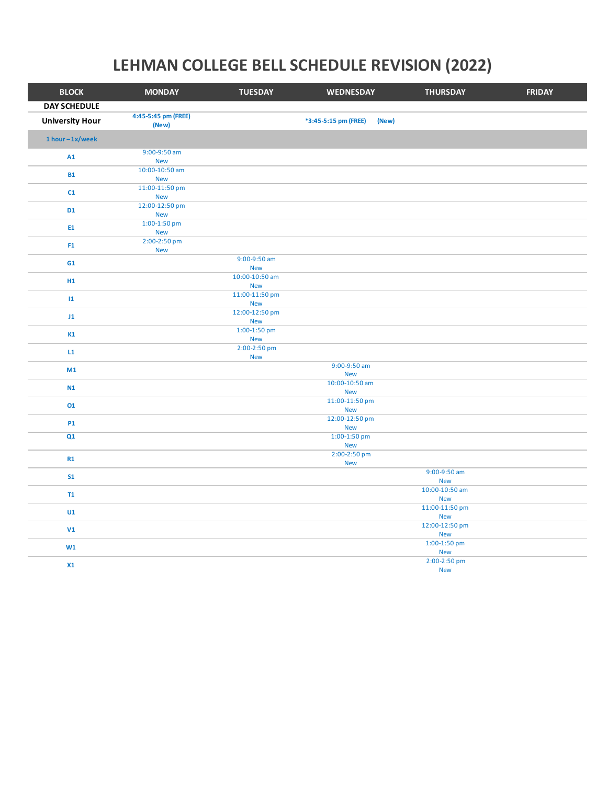# **LEHMAN COLLEGE BELL SCHEDULE REVISION (2022)**

| <b>BLOCK</b>           | <b>MONDAY</b>                | <b>TUESDAY</b>               | WEDNESDAY                     | <b>THURSDAY</b>              | <b>FRIDAY</b> |
|------------------------|------------------------------|------------------------------|-------------------------------|------------------------------|---------------|
| <b>DAY SCHEDULE</b>    |                              |                              |                               |                              |               |
| <b>University Hour</b> | 4:45-5:45 pm (FREE)<br>(New) |                              | *3:45-5:15 pm (FREE)<br>(New) |                              |               |
| $1 hour - 1x/week$     |                              |                              |                               |                              |               |
| A1                     | 9:00-9:50 am<br><b>New</b>   |                              |                               |                              |               |
| <b>B1</b>              | 10:00-10:50 am<br><b>New</b> |                              |                               |                              |               |
| C1                     | 11:00-11:50 pm<br><b>New</b> |                              |                               |                              |               |
| <b>D1</b>              | 12:00-12:50 pm<br><b>New</b> |                              |                               |                              |               |
| E1                     | 1:00-1:50 pm<br><b>New</b>   |                              |                               |                              |               |
| F <sub>1</sub>         | 2:00-2:50 pm<br><b>New</b>   |                              |                               |                              |               |
| G1                     |                              | 9:00-9:50 am<br><b>New</b>   |                               |                              |               |
| H1                     |                              | 10:00-10:50 am<br><b>New</b> |                               |                              |               |
| $\mathbf{11}$          |                              | 11:00-11:50 pm<br><b>New</b> |                               |                              |               |
| J1                     |                              | 12:00-12:50 pm<br><b>New</b> |                               |                              |               |
| K1                     |                              | $1:00-1:50$ pm<br><b>New</b> |                               |                              |               |
| L1                     |                              | 2:00-2:50 pm<br><b>New</b>   |                               |                              |               |
| M1                     |                              |                              | 9:00-9:50 am<br><b>New</b>    |                              |               |
| N1                     |                              |                              | 10:00-10:50 am<br><b>New</b>  |                              |               |
| 01                     |                              |                              | 11:00-11:50 pm<br><b>New</b>  |                              |               |
| <b>P1</b>              |                              |                              | 12:00-12:50 pm<br><b>New</b>  |                              |               |
| Q1                     |                              |                              | $1:00-1:50$ pm<br><b>New</b>  |                              |               |
| R1                     |                              |                              | 2:00-2:50 pm<br><b>New</b>    |                              |               |
| S <sub>1</sub>         |                              |                              |                               | 9:00-9:50 am<br><b>New</b>   |               |
| T1                     |                              |                              |                               | 10:00-10:50 am<br><b>New</b> |               |
| U1                     |                              |                              |                               | 11:00-11:50 pm<br><b>New</b> |               |
| V1                     |                              |                              |                               | 12:00-12:50 pm<br><b>New</b> |               |
| W1                     |                              |                              |                               | 1:00-1:50 pm<br><b>New</b>   |               |
| X1                     |                              |                              |                               | 2:00-2:50 pm<br><b>New</b>   |               |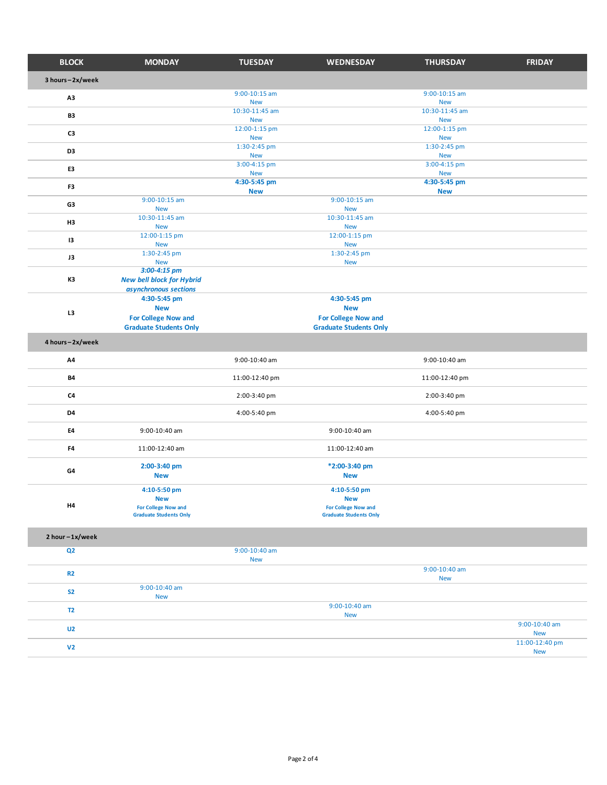| <b>BLOCK</b>    | <b>MONDAY</b>                                               | <b>TUESDAY</b>                  | <b>WEDNESDAY</b>                                            | <b>THURSDAY</b>                 | <b>FRIDAY</b>                |
|-----------------|-------------------------------------------------------------|---------------------------------|-------------------------------------------------------------|---------------------------------|------------------------------|
| 3 hours-2x/week |                                                             |                                 |                                                             |                                 |                              |
| A3              |                                                             | $9:00-10:15$ am<br><b>New</b>   |                                                             | $9:00 - 10:15$ am<br><b>New</b> |                              |
| B3              |                                                             | 10:30-11:45 am                  |                                                             | 10:30-11:45 am                  |                              |
| C3              |                                                             | <b>New</b><br>12:00-1:15 pm     |                                                             | <b>New</b><br>12:00-1:15 pm     |                              |
| D <sub>3</sub>  |                                                             | <b>New</b><br>1:30-2:45 pm      |                                                             | <b>New</b><br>1:30-2:45 pm      |                              |
| E3              |                                                             | <b>New</b><br>3:00-4:15 pm      |                                                             | <b>New</b><br>3:00-4:15 pm      |                              |
|                 |                                                             | <b>New</b><br>4:30-5:45 pm      |                                                             | <b>New</b><br>4:30-5:45 pm      |                              |
| F3              | $9:00 - 10:15$ am                                           | <b>New</b>                      | $9:00-10:15$ am                                             | <b>New</b>                      |                              |
| G3              | <b>New</b><br>10:30-11:45 am                                |                                 | <b>New</b><br>10:30-11:45 am                                |                                 |                              |
| H3              | <b>New</b><br>12:00-1:15 pm                                 |                                 | <b>New</b><br>12:00-1:15 pm                                 |                                 |                              |
| 13              | <b>New</b>                                                  |                                 | <b>New</b>                                                  |                                 |                              |
| J3              | 1:30-2:45 pm<br><b>New</b>                                  |                                 | 1:30-2:45 pm<br><b>New</b>                                  |                                 |                              |
| K3              | $3:00-4:15$ pm<br><b>New bell block for Hybrid</b>          |                                 |                                                             |                                 |                              |
|                 | asynchronous sections<br>4:30-5:45 pm                       |                                 | 4:30-5:45 pm                                                |                                 |                              |
| L3              | <b>New</b>                                                  |                                 | <b>New</b>                                                  |                                 |                              |
|                 | <b>For College Now and</b><br><b>Graduate Students Only</b> |                                 | <b>For College Now and</b><br><b>Graduate Students Only</b> |                                 |                              |
| 4 hours-2x/week |                                                             |                                 |                                                             |                                 |                              |
| A4              |                                                             | 9:00-10:40 am                   |                                                             | 9:00-10:40 am                   |                              |
| <b>B4</b>       |                                                             | 11:00-12:40 pm                  |                                                             | 11:00-12:40 pm                  |                              |
| C <sub>4</sub>  |                                                             | 2:00-3:40 pm                    |                                                             | 2:00-3:40 pm                    |                              |
| D4              |                                                             | 4:00-5:40 pm                    |                                                             | 4:00-5:40 pm                    |                              |
| E4              | 9:00-10:40 am                                               |                                 | 9:00-10:40 am                                               |                                 |                              |
| F4              | 11:00-12:40 am                                              |                                 | 11:00-12:40 am                                              |                                 |                              |
| G4              | 2:00-3:40 pm                                                |                                 | *2:00-3:40 pm                                               |                                 |                              |
|                 | <b>New</b>                                                  |                                 | <b>New</b>                                                  |                                 |                              |
|                 | 4:10-5:50 pm<br><b>New</b>                                  |                                 | 4:10-5:50 pm<br><b>New</b>                                  |                                 |                              |
| H4              | <b>For College Now and</b>                                  |                                 | <b>For College Now and</b>                                  |                                 |                              |
|                 | <b>Graduate Students Only</b>                               |                                 | <b>Graduate Students Only</b>                               |                                 |                              |
| 2 hour-1x/week  |                                                             |                                 |                                                             |                                 |                              |
| Q <sub>2</sub>  |                                                             | $9:00 - 10:40$ am<br><b>New</b> |                                                             |                                 |                              |
| R <sub>2</sub>  |                                                             |                                 |                                                             | 9:00-10:40 am                   |                              |
| <b>S2</b>       | $9:00-10:40$ am                                             |                                 |                                                             | <b>New</b>                      |                              |
| T <sub>2</sub>  | <b>New</b>                                                  |                                 | 9:00-10:40 am                                               |                                 |                              |
|                 |                                                             |                                 | <b>New</b>                                                  |                                 | 9:00-10:40 am                |
| U <sub>2</sub>  |                                                             |                                 |                                                             |                                 | <b>New</b><br>11:00-12:40 pm |
| V <sub>2</sub>  |                                                             |                                 |                                                             |                                 | <b>New</b>                   |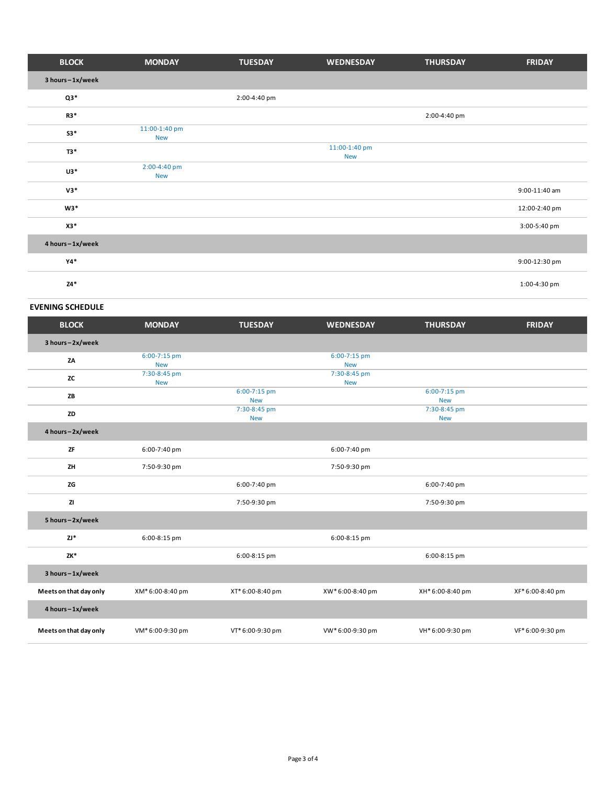| <b>BLOCK</b>    | <b>MONDAY</b>               | <b>TUESDAY</b> | <b>WEDNESDAY</b>            | <b>THURSDAY</b> | <b>FRIDAY</b> |
|-----------------|-----------------------------|----------------|-----------------------------|-----------------|---------------|
| 3 hours-1x/week |                             |                |                             |                 |               |
| $Q3*$           |                             | 2:00-4:40 pm   |                             |                 |               |
| R3*             |                             |                |                             | 2:00-4:40 pm    |               |
| $S3*$           | 11:00-1:40 pm<br><b>New</b> |                |                             |                 |               |
| T3*             |                             |                | 11:00-1:40 pm<br><b>New</b> |                 |               |
| $U3*$           | 2:00-4:40 pm<br><b>New</b>  |                |                             |                 |               |
| $V3*$           |                             |                |                             |                 | 9:00-11:40 am |
| $W3*$           |                             |                |                             |                 | 12:00-2:40 pm |
| X3*             |                             |                |                             |                 | 3:00-5:40 pm  |
| 4 hours-1x/week |                             |                |                             |                 |               |
| $Y4*$           |                             |                |                             |                 | 9:00-12:30 pm |
| $Z4*$           |                             |                |                             |                 | 1:00-4:30 pm  |

#### **EVENING SCHEDULE**

| <b>BLOCK</b>           | <b>MONDAY</b>              | <b>TUESDAY</b>             | <b>WEDNESDAY</b>           | <b>THURSDAY</b>            | <b>FRIDAY</b>    |
|------------------------|----------------------------|----------------------------|----------------------------|----------------------------|------------------|
| 3 hours-2x/week        |                            |                            |                            |                            |                  |
| ZA                     | 6:00-7:15 pm<br><b>New</b> |                            | 6:00-7:15 pm<br><b>New</b> |                            |                  |
| <b>ZC</b>              | 7:30-8:45 pm<br><b>New</b> |                            | 7:30-8:45 pm<br><b>New</b> |                            |                  |
| ZB                     |                            | 6:00-7:15 pm<br><b>New</b> |                            | 6:00-7:15 pm<br><b>New</b> |                  |
| ZD                     |                            | 7:30-8:45 pm<br><b>New</b> |                            | 7:30-8:45 pm<br><b>New</b> |                  |
| 4 hours-2x/week        |                            |                            |                            |                            |                  |
| ZF                     | 6:00-7:40 pm               |                            | 6:00-7:40 pm               |                            |                  |
| ZH                     | 7:50-9:30 pm               |                            | 7:50-9:30 pm               |                            |                  |
| ZG                     |                            | 6:00-7:40 pm               |                            | 6:00-7:40 pm               |                  |
| ZI                     |                            | 7:50-9:30 pm               |                            | 7:50-9:30 pm               |                  |
| 5 hours-2x/week        |                            |                            |                            |                            |                  |
| $ZJ^*$                 | 6:00-8:15 pm               |                            | 6:00-8:15 pm               |                            |                  |
| ZK*                    |                            | 6:00-8:15 pm               |                            | 6:00-8:15 pm               |                  |
| 3 hours-1x/week        |                            |                            |                            |                            |                  |
| Meets on that day only | XM* 6:00-8:40 pm           | XT* 6:00-8:40 pm           | XW*6:00-8:40 pm            | XH* 6:00-8:40 pm           | XF* 6:00-8:40 pm |
| 4 hours-1x/week        |                            |                            |                            |                            |                  |
| Meets on that day only | VM* 6:00-9:30 pm           | VT* 6:00-9:30 pm           | VW*6:00-9:30 pm            | VH* 6:00-9:30 pm           | VF* 6:00-9:30 pm |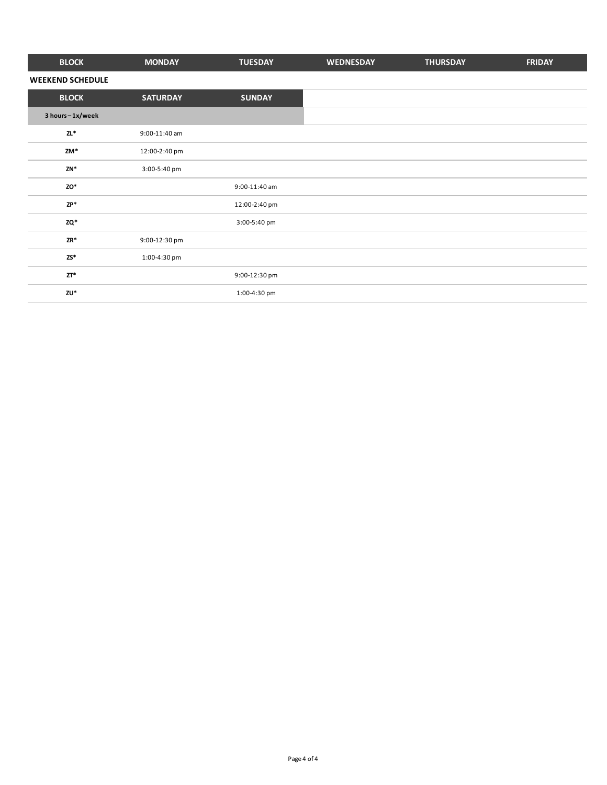| <b>BLOCK</b>            | <b>MONDAY</b>   | <b>TUESDAY</b> | WEDNESDAY | <b>THURSDAY</b> | <b>FRIDAY</b> |
|-------------------------|-----------------|----------------|-----------|-----------------|---------------|
| <b>WEEKEND SCHEDULE</b> |                 |                |           |                 |               |
| <b>BLOCK</b>            | <b>SATURDAY</b> | <b>SUNDAY</b>  |           |                 |               |
| 3 hours-1x/week         |                 |                |           |                 |               |
| $ZL^*$                  | 9:00-11:40 am   |                |           |                 |               |
| ZM*                     | 12:00-2:40 pm   |                |           |                 |               |
| $ZN^*$                  | 3:00-5:40 pm    |                |           |                 |               |
| ZO*                     |                 | 9:00-11:40 am  |           |                 |               |
| $ZP*$                   |                 | 12:00-2:40 pm  |           |                 |               |
| ZQ*                     |                 | 3:00-5:40 pm   |           |                 |               |
| ZR*                     | 9:00-12:30 pm   |                |           |                 |               |
| $2S^*$                  | 1:00-4:30 pm    |                |           |                 |               |
| $ZT^*$                  |                 | 9:00-12:30 pm  |           |                 |               |
| ZU*                     |                 | 1:00-4:30 pm   |           |                 |               |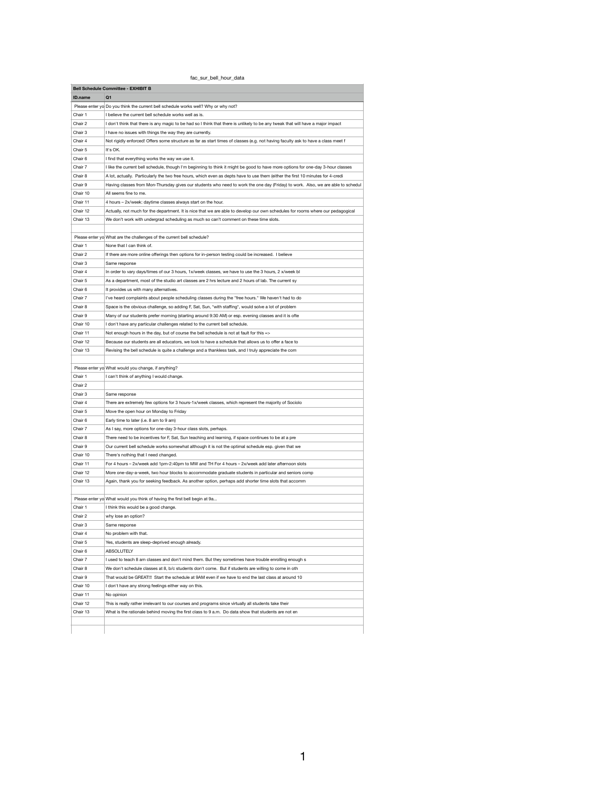|--|

|                      | <b>Bell Schedule Committee - EXHIBIT B</b>                                                                                       |
|----------------------|----------------------------------------------------------------------------------------------------------------------------------|
| ID.name              | O <sub>1</sub>                                                                                                                   |
|                      | Please enter yo Do you think the current bell schedule works well? Why or why not?                                               |
| Chair 1              | I believe the current bell schedule works well as is.                                                                            |
| Chair 2              | I don't think that there is any magic to be had so I think that there is unlikely to be any tweak that will have a major impact  |
| Chair 3              | I have no issues with things the way they are currently.                                                                         |
| Chair 4              | Not rigidly enforced! Offers some structure as far as start times of classes (e.g. not having faculty ask to have a class meet f |
| Chair 5              | It's OK.                                                                                                                         |
| Chair <sub>6</sub>   | I find that everything works the way we use it.                                                                                  |
| Chair 7              | I like the current bell schedule, though I'm beginning to think it might be good to have more options for one-day 3-hour classes |
| Chair 8              | A lot, actually. Particularly the two free hours, which even as depts have to use them (either the first 10 minutes for 4-credi  |
| Chair 9              | Having classes from Mon-Thursday gives our students who need to work the one day (Friday) to work. Also, we are able to schedul  |
| Chair 10             | All seems fine to me.                                                                                                            |
| Chair 11             | 4 hours - 2x/week: daytime classes always start on the hour.                                                                     |
| Chair 12             | Actually, not much for the department. It is nice that we are able to develop our own schedules for rooms where our pedagogical  |
| Chair 13             | We don't work with undergrad scheduling as much so can't comment on these time slots.                                            |
|                      |                                                                                                                                  |
|                      | Please enter yo What are the challenges of the current bell schedule?                                                            |
| Chair 1              | None that I can think of.                                                                                                        |
| Chair 2              | If there are more online offerings then options for in-person testing could be increased. I believe                              |
| Chair 3              | Same response                                                                                                                    |
| Chair 4              | In order to vary days/times of our 3 hours, 1x/week classes, we have to use the 3 hours, 2 x/week bl                             |
| Chair 5              | As a department, most of the studio art classes are 2 hrs lecture and 2 hours of lab. The current sy                             |
| Chair <sub>6</sub>   | It provides us with many alternatives.                                                                                           |
| Chair 7              | I've heard complaints about people scheduling classes during the "free hours." We haven't had to do                              |
| Chair 8              | Space is the obvious challenge, so adding F, Sat, Sun, *with staffing*, would solve a lot of problem                             |
| Chair 9              | Many of our students prefer morning (starting around 9:30 AM) or esp. evening classes and it is ofte                             |
| Chair 10             | I don't have any particular challenges related to the current bell schedule.                                                     |
| Chair 11             | Not enough hours in the day, but of course the bell schedule is not at fault for this =>                                         |
| Chair 12             | Because our students are all educators, we look to have a schedule that allows us to offer a face to                             |
| Chair 13             | Revising the bell schedule is quite a challenge and a thankless task, and I truly appreciate the com                             |
|                      |                                                                                                                                  |
|                      | Please enter yo What would you change, if anything?                                                                              |
| Chair 1              | I can't think of anything I would change.                                                                                        |
| Chair 2              |                                                                                                                                  |
| Chair 3              | Same response                                                                                                                    |
| Chair 4              | There are extremely few options for 3 hours-1x/week classes, which represent the majority of Sociolo                             |
| Chair 5              | Move the open hour on Monday to Friday                                                                                           |
| Chair <sub>6</sub>   | Early time to later (i.e. 8 am to 9 am)                                                                                          |
| Chair 7              | As I say, more options for one-day 3-hour class slots, perhaps.                                                                  |
| Chair 8              | There need to be incentives for F, Sat, Sun teaching and learning, if space continues to be at a pre                             |
| Chair 9              | Our current bell schedule works somewhat although it is not the optimal schedule esp. given that we                              |
| Chair 10             | There's nothing that I need changed.                                                                                             |
| Chair 11<br>Chair 12 | For 4 hours - 2x/week add 1pm-2:40pm to MW and TH For 4 hours - 2x/week add later afternoon slots                                |
|                      | More one-day-a-week, two hour blocks to accommodate graduate students in particular and seniors comp                             |
| Chair 13             | Again, thank you for seeking feedback. As another option, perhaps add shorter time slots that accomm                             |
|                      | Please enter yo What would you think of having the first bell begin at 9a                                                        |
| Chair 1              | I think this would be a good change.                                                                                             |
| Chair 2              | why lose an option?                                                                                                              |
| Chair 3              | Same response                                                                                                                    |
| Chair 4              | No problem with that.                                                                                                            |
| Chair 5              | Yes, students are sleep-deprived enough already.                                                                                 |
| Chair 6              | ABSOLUTELY                                                                                                                       |
| Chair 7              | I used to teach 8 am classes and don't mind them. But they sometimes have trouble enrolling enough s                             |
| Chair 8              | We don't schedule classes at 8, b/c students don't come. But if students are willing to come in oth                              |
| Chair 9              | That would be GREAT!!! Start the schedule at 9AM even if we have to end the last class at around 10                              |
| Chair 10             | I don't have any strong feelings either way on this.                                                                             |
| Chair 11             | No opinion                                                                                                                       |
| Chair 12             | This is really rather irrelevant to our courses and programs since virtually all students take their                             |
| Chair 13             | What is the rationale behind moving the first class to 9 a.m. Do data show that students are not en                              |
|                      |                                                                                                                                  |
|                      |                                                                                                                                  |
|                      |                                                                                                                                  |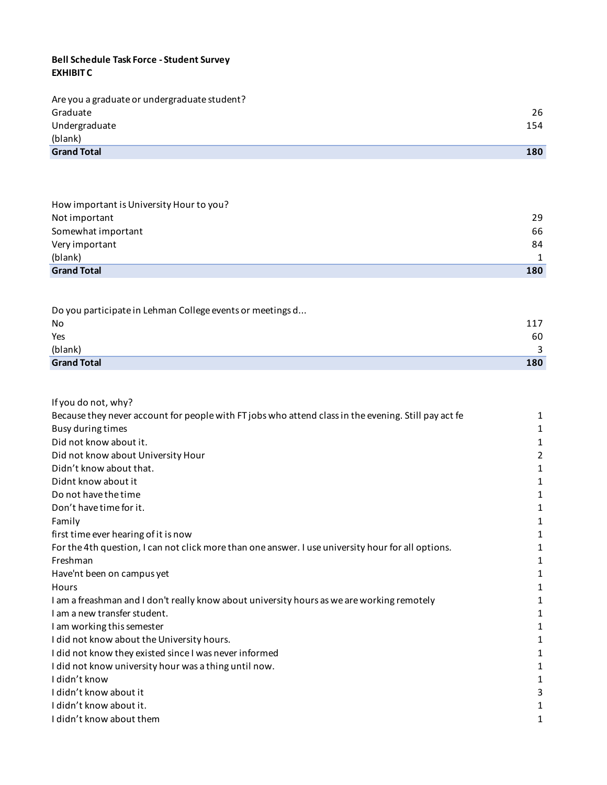### **Bell Schedule Task Force - Student Survey EXHIBIT C**

| Are you a graduate or undergraduate student? |     |
|----------------------------------------------|-----|
| Graduate                                     | 26  |
| Undergraduate                                | 154 |
| (blank)                                      |     |
| <b>Grand Total</b>                           | 180 |

| How important is University Hour to you? |              |
|------------------------------------------|--------------|
| Not important                            | 29           |
| Somewhat important                       | 66           |
| Very important                           | 84           |
| (blank)                                  | $\mathbf{1}$ |
| <b>Grand Total</b>                       | 180          |
|                                          |              |

| Do you participate in Lehman College events or meetings d |     |
|-----------------------------------------------------------|-----|
| No                                                        | 117 |
| Yes                                                       | 60  |
| (blank)                                                   |     |
| <b>Grand Total</b>                                        | 180 |

| If you do not, why?                                                                                  |   |
|------------------------------------------------------------------------------------------------------|---|
| Because they never account for people with FT jobs who attend class in the evening. Still pay act fe | 1 |
| Busy during times                                                                                    | 1 |
| Did not know about it.                                                                               | 1 |
| Did not know about University Hour                                                                   | 2 |
| Didn't know about that.                                                                              |   |
| Didnt know about it                                                                                  |   |
| Do not have the time                                                                                 |   |
| Don't have time for it.                                                                              |   |
| Family                                                                                               |   |
| first time ever hearing of it is now                                                                 | 1 |
| For the 4th question, I can not click more than one answer. I use university hour for all options.   |   |
| Freshman                                                                                             | 1 |
| Have'nt been on campus yet                                                                           | 1 |
| Hours                                                                                                |   |
| I am a freashman and I don't really know about university hours as we are working remotely           |   |
| I am a new transfer student.                                                                         |   |
| I am working this semester                                                                           |   |
| I did not know about the University hours.                                                           |   |
| I did not know they existed since I was never informed                                               |   |
| I did not know university hour was a thing until now.                                                |   |
| I didn't know                                                                                        |   |
| I didn't know about it                                                                               |   |
| I didn't know about it.                                                                              |   |
| I didn't know about them                                                                             |   |
|                                                                                                      |   |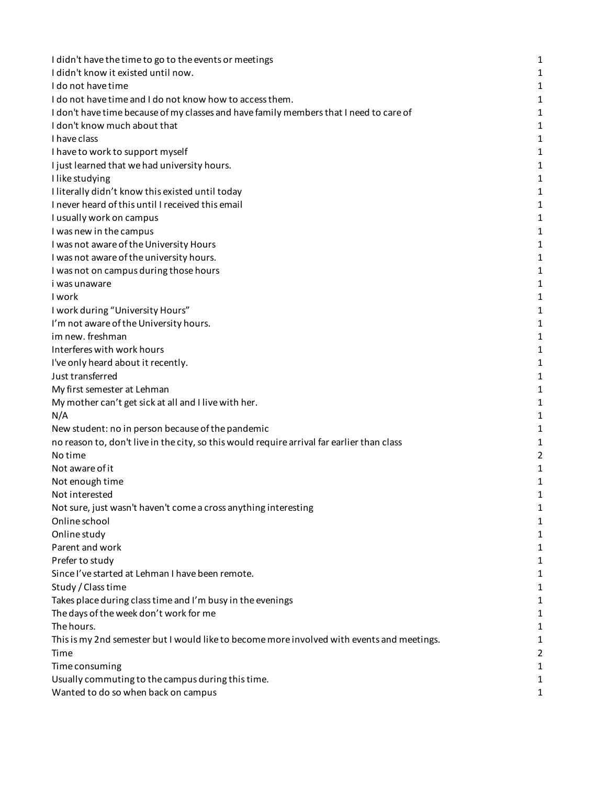| I didn't have the time to go to the events or meetings                                     | 1 |
|--------------------------------------------------------------------------------------------|---|
| I didn't know it existed until now.                                                        | 1 |
| I do not have time                                                                         | 1 |
| I do not have time and I do not know how to access them.                                   | 1 |
| I don't have time because of my classes and have family members that I need to care of     | 1 |
| I don't know much about that                                                               | 1 |
| I have class                                                                               | 1 |
| I have to work to support myself                                                           | 1 |
| I just learned that we had university hours.                                               | 1 |
| I like studying                                                                            | 1 |
| I literally didn't know this existed until today                                           | 1 |
| I never heard of this until I received this email                                          | 1 |
| I usually work on campus                                                                   | 1 |
| I was new in the campus                                                                    | 1 |
| I was not aware of the University Hours                                                    | 1 |
| I was not aware of the university hours.                                                   | 1 |
| I was not on campus during those hours                                                     | 1 |
| <i>i</i> was unaware                                                                       | 1 |
| I work                                                                                     | 1 |
| I work during "University Hours"                                                           | 1 |
| I'm not aware of the University hours.                                                     | 1 |
| im new. freshman                                                                           | 1 |
| Interferes with work hours                                                                 | 1 |
| I've only heard about it recently.                                                         | 1 |
| Just transferred                                                                           | 1 |
| My first semester at Lehman                                                                | 1 |
| My mother can't get sick at all and I live with her.                                       | 1 |
| N/A                                                                                        | 1 |
| New student: no in person because of the pandemic                                          | 1 |
| no reason to, don't live in the city, so this would require arrival far earlier than class | 1 |
| No time                                                                                    | 2 |
| Not aware of it                                                                            | 1 |
| Not enough time                                                                            | 1 |
| Not interested                                                                             |   |
| Not sure, just wasn't haven't come a cross anything interesting                            | 1 |
| Online school                                                                              | 1 |
| Online study                                                                               | 1 |
| Parent and work                                                                            | 1 |
| Prefer to study                                                                            | 1 |
| Since I've started at Lehman I have been remote.                                           | 1 |
| Study / Class time                                                                         | 1 |
| Takes place during class time and I'm busy in the evenings                                 | 1 |
| The days of the week don't work for me                                                     | 1 |
| The hours.                                                                                 | 1 |
| This is my 2nd semester but I would like to become more involved with events and meetings. | 1 |
| Time                                                                                       | 2 |
| Time consuming                                                                             | 1 |
| Usually commuting to the campus during this time.                                          | 1 |
| Wanted to do so when back on campus                                                        | 1 |